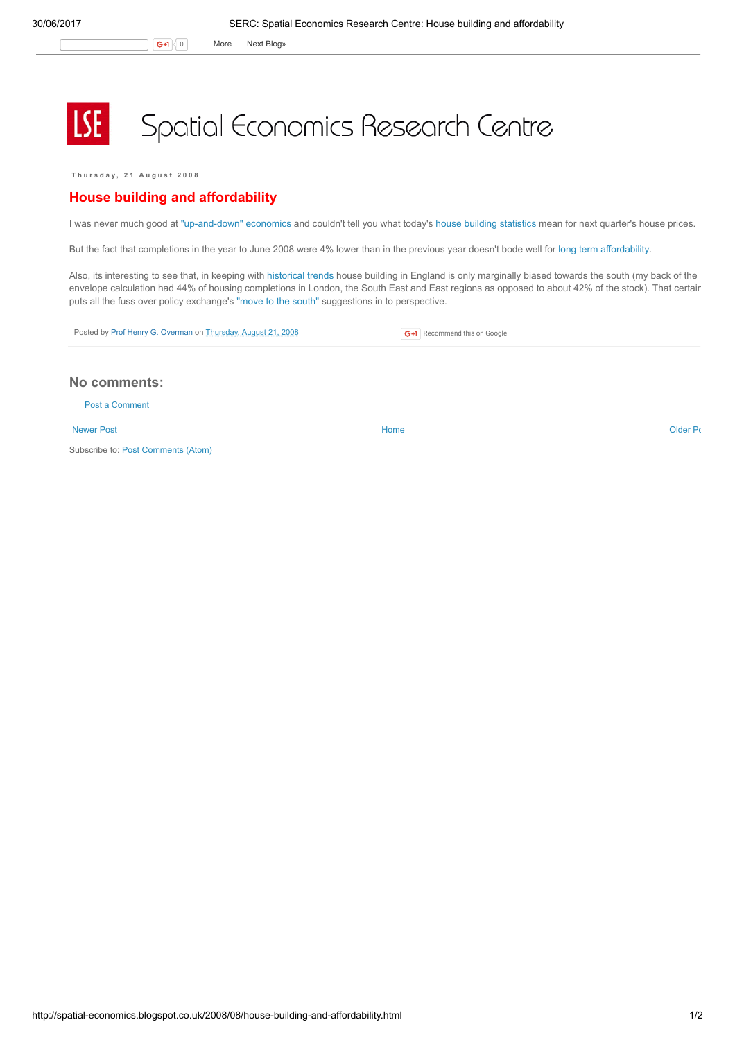## **LSE** Spatial Economics Research Centre

Thursday, 21 August 2008

## House building and affordability

I was never much good at ["up-and-down"](http://query.nytimes.com/gst/fullpage.html?res=9C0CE7DC173FF93BA15753C1A966958260) economics and couldn't tell you what today's house building [statistics](http://www.communities.gov.uk/documents/corporate/pdf/934882.pdf) mean for next quarter's house prices.

But the fact that completions in the year to June 2008 were 4% lower than in the previous year doesn't bode well for long term [affordability](http://www.communities.gov.uk/documents/507390/pdf/867681.pdf).

Also, its interesting to see that, in keeping with [historical](http://www.communities.gov.uk/housing/housingresearch/housingstatistics/housingstatisticsby/stockincludingvacants/livetables/) trends house building in England is only marginally biased towards the south (my back of the envelope calculation had 44% of housing completions in London, the South East and East regions as opposed to about 42% of the stock). That certair puts all the fuss over policy exchange's "move to the [south"](http://www.policyexchange.org.uk/images/libimages/418.PDF) suggestions in to perspective.

Posted by Prof Henry G. [Overman](https://www.blogger.com/profile/15203876610491317062) on [Thursday,](http://spatial-economics.blogspot.co.uk/2008/08/house-building-and-affordability.html) August 21, 2008

**G+1** Recommend this on Google

## No comments:

Post a [Comment](https://www.blogger.com/comment.g?blogID=974562301377041914&postID=380504272520373918)

[Newer](http://spatial-economics.blogspot.co.uk/2008/08/building-bridges.html) Post and the contract of the contract of the contract [Home](http://spatial-economics.blogspot.co.uk/) contract of the contract of the contract of the contract of the contract of the contract of the contract of the contract of the contract of the contract of t

Subscribe to: Post [Comments](http://spatial-economics.blogspot.com/feeds/380504272520373918/comments/default) (Atom)